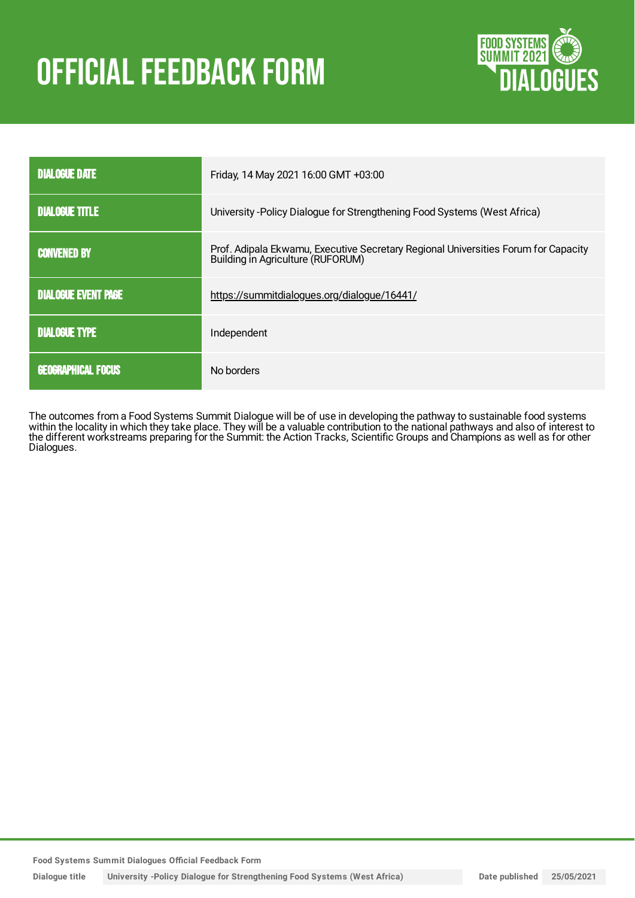# **OFFICIAL FEEDBACK FORM**



| <b>DIALOGUE DATE</b>       | Friday, 14 May 2021 16:00 GMT +03:00                                                                                    |  |
|----------------------------|-------------------------------------------------------------------------------------------------------------------------|--|
| <b>DIALOGUE TITLE</b>      | University - Policy Dialogue for Strengthening Food Systems (West Africa)                                               |  |
| <b>CONVENED BY</b>         | Prof. Adipala Ekwamu, Executive Secretary Regional Universities Forum for Capacity<br>Building in Agriculture (RUFORUM) |  |
| <b>DIALOGUE EVENT PAGE</b> | https://summitdialogues.org/dialogue/16441/                                                                             |  |
| <b>DIALOGUE TYPE</b>       | Independent                                                                                                             |  |
| <b>GEOGRAPHICAL FOCUS</b>  | No borders                                                                                                              |  |

The outcomes from a Food Systems Summit Dialogue will be of use in developing the pathway to sustainable food systems within the locality in which they take place. They will be a valuable contribution to the national pathways and also of interest to the different workstreams preparing for the Summit: the Action Tracks, Scientific Groups and Champions as well as for other Dialogues.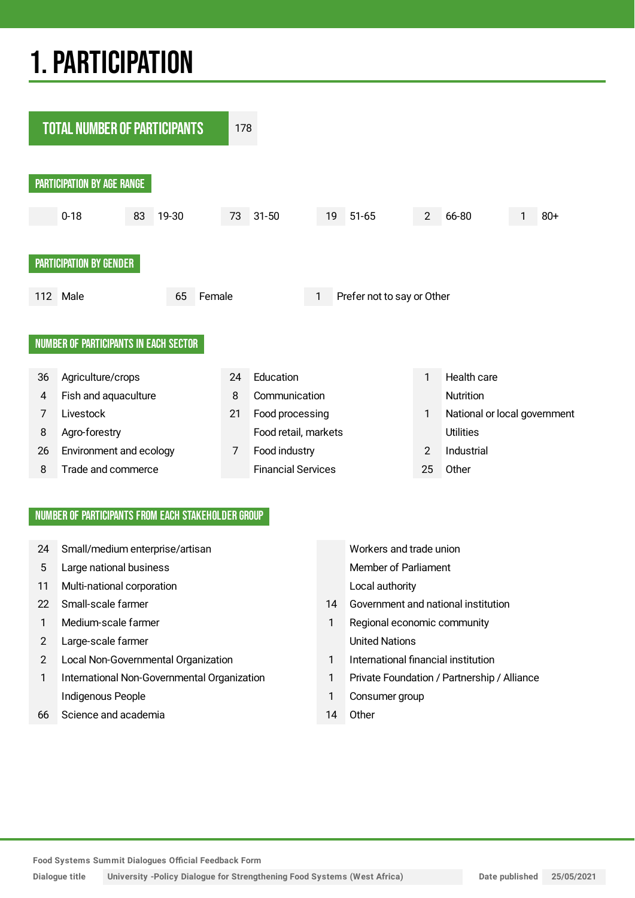## 1.PARTICIPATION



#### NUMBER OF PARTICIPANTS FROM EACH STAKEHOLDER GROUP

- 24 Small/medium enterprise/artisan Workers and trade union
- 5 Large national business **Member of Parliament** Member of Parliament
- 11 Multi-national corporation Local authority
- 
- 
- 2 Large-scale farmer and the United Nations
- 2 Local Non-Governmental Organization 1 International financial institution
- 1 International Non-Governmental Organization 1 Private Foundation / Partnership / Alliance Indigenous People **1** Consumer group
- 66 Science and academia 14 Other

- 22 Small-scale farmer 14 Government and national institution
- 1 Medium-scale farmer 1 Regional economic community
	-
	-
	-
	-

**Food Systems Summit Dialogues Official Feedback Form**

**Dialogue title University -Policy Dialogue for Strengthening Food Systems (West Africa) Date published 25/05/2021**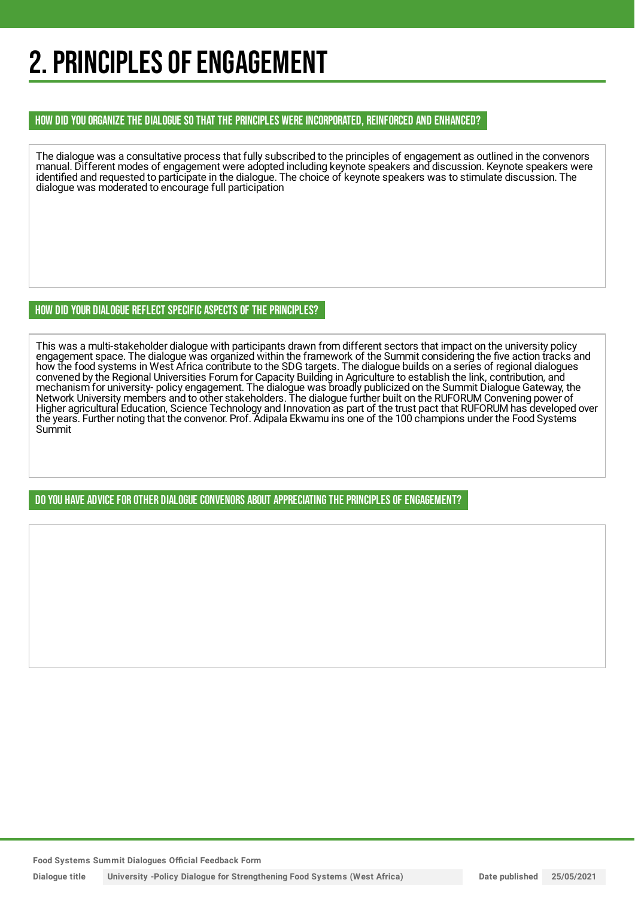## 2. PRINCIPLES OF ENGAGEMENT

#### HOW DID YOU ORGANIZE THE DIALOGUE SO THAT THE PRINCIPLES WERE INCORPORATED, REINFORCED AND ENHANCED?

The dialogue was a consultative process that fully subscribed to the principles of engagement as outlined in the convenors manual. Different modes of engagement were adopted including keynote speakers and discussion. Keynote speakers were identified and requested to participate in the dialogue. The choice of keynote speakers was to stimulate discussion. The dialogue was moderated to encourage full participation

#### HOW DID YOUR DIALOGUE REFLECT SPECIFIC ASPECTS OF THE PRINCIPLES?

This was a multi-stakeholder dialogue with participants drawn from different sectors that impact on the university policy engagement space. The dialogue was organized within the framework of the Summit considering the five action tracks and how the food systems in West Africa contribute to the SDG targets. The dialogue builds on a series of regional dialogues convened by the Regional Universities Forum for Capacity Building in Agriculture to establish the link, contribution, and mechanism for university- policy engagement. The dialogue was broadly publicized on the Summit Dialogue Gateway, the Network University members and to other stakeholders. The dialogue further built on the RUFORUM Convening power of Higher agricultural Education, Science Technology and Innovation as part of the trust pact that RUFORUM has developed over the years. Further noting that the convenor. Prof. Adipala Ekwamu ins one of the 100 champions under the Food Systems Summit

DO YOU HAVE ADVICE FOR OTHER DIALOGUE CONVENORS ABOUT APPRECIATINGTHE PRINCIPLES OF ENGAGEMENT?

**Food Systems Summit Dialogues Official Feedback Form**

**Dialogue title University -Policy Dialogue for Strengthening Food Systems (West Africa) Date published 25/05/2021**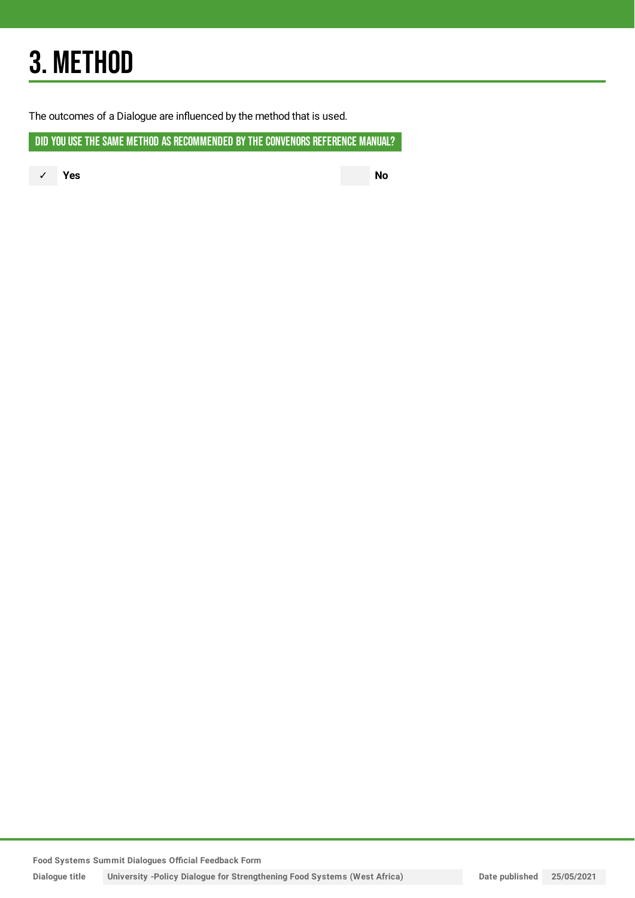## 3. METHOD

The outcomes of a Dialogue are influenced by the method that is used.

DID YOU USE THE SAME METHOD AS RECOMMENDED BY THE CONVENORS REFERENCE MANUAL?

✓ **Yes No**

**Food Systems Summit Dialogues Official Feedback Form**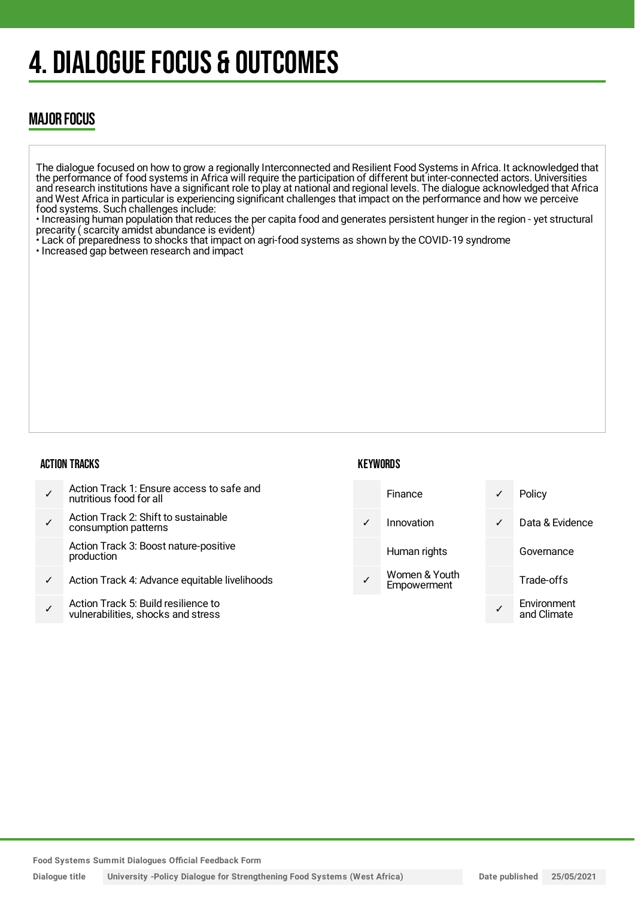## 4. DIALOGUE FOCUS & OUTCOMES

### MAJOR FOCUS

The dialogue focused on how to grow a regionally Interconnected and Resilient Food Systems in Africa. It acknowledged that the performance of food systems in Africa will require the participation of different but inter-connected actors. Universities and research institutions have a significant role to play at national and regional levels. The dialogue acknowledged that Africa and West Africa in particular is experiencing significant challenges that impact on the performance and how we perceive food systems. Such challenges include:

• Increasing human population that reduces the per capita food and generates persistent hunger in the region - yet structural precarity ( scarcity amidst abundance is evident)

• Lack of preparedness to shocks that impact on agri-food systems as shown by the COVID-19 syndrome

• Increased gap between research and impact

#### ACTION TRACKS

#### **KEYWORDS**



**Food Systems Summit Dialogues Official Feedback Form**

**Dialogue title University -Policy Dialogue for Strengthening Food Systems (West Africa) Date published 25/05/2021**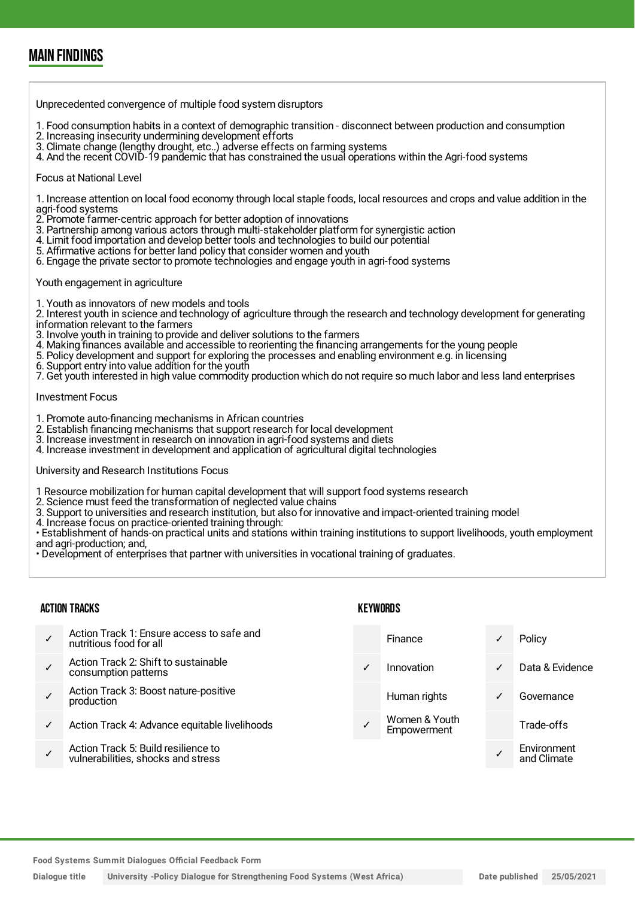### MAIN FINDINGS

Unprecedented convergence of multiple food system disruptors

- 1. Food consumption habits in a context of demographic transition disconnect between production and consumption
- 2. Increasing insecurity undermining development efforts
- 3. Climate change (lengthy drought, etc..) adverse effects on farming systems
- 4. And the recent COVID-19 pandemic that has constrained the usual operations within the Agri-food systems

#### Focus at National Level

1. Increase attention on local food economy through local staple foods, local resources and crops and value addition in the agri-food systems

- 2. Promote farmer-centric approach for better adoption of innovations
- 3. Partnership among various actors through multi-stakeholder platform for synergistic action
- 4. Limit food importation and develop better tools and technologies to build our potential
- 5. Affirmative actions for better land policy that consider women and youth
- 6. Engage the private sector to promote technologies and engage youth in agri-food systems

#### Youth engagement in agriculture

1. Youth as innovators of new models and tools

2. Interest youth in science and technology of agriculture through the research and technology development for generating information relevant to the farmers

- 3. Involve youth in training to provide and deliver solutions to the farmers
- 4. Making finances available and accessible to reorienting the financing arrangements for the young people
- 5. Policy development and support for exploring the processes and enabling environment e.g. in licensing
- 6. Support entry into value addition for the youth
- 7. Get youth interested in high value commodity production which do not require so much labor and less land enterprises

#### Investment Focus

- 1. Promote auto-financing mechanisms in African countries
- 2. Establish financing mechanisms that support research for local development
- 3. Increase investment in research on innovation in agri-food systems and diets
- 4. Increase investment in development and application of agricultural digital technologies

University and Research Institutions Focus

- 1 Resource mobilization for human capital development that will support food systems research
- 2. Science must feed the transformation of neglected value chains
- 3. Support to universities and research institution, but also for innovative and impact-oriented training model
- 4. Increase focus on practice-oriented training through:
- Establishment of hands-on practical units and stations within training institutions to support livelihoods, youth employment and agri-production; and,
- Development of enterprises that partner with universities in vocational training of graduates.

#### ACTION TRACKS

#### **KEYWORDS**

✓ Action Track 1: Ensure access to safe and nutritious food for all ✓ Action Track 2: Shift to sustainable consumption patterns ✓ Action Track 3: Boost nature-positive production Action Track 4: Advance equitable livelihoods ✓ Action Track 5: Build resilience to vulnerabilities, shocks and stress Finance **√** Policy ✓ Innovation ✓ Data & Evidence Human rights **V** Governance Women & Youth **Empowerment** Trade-offs ✓ **Environment** and Climate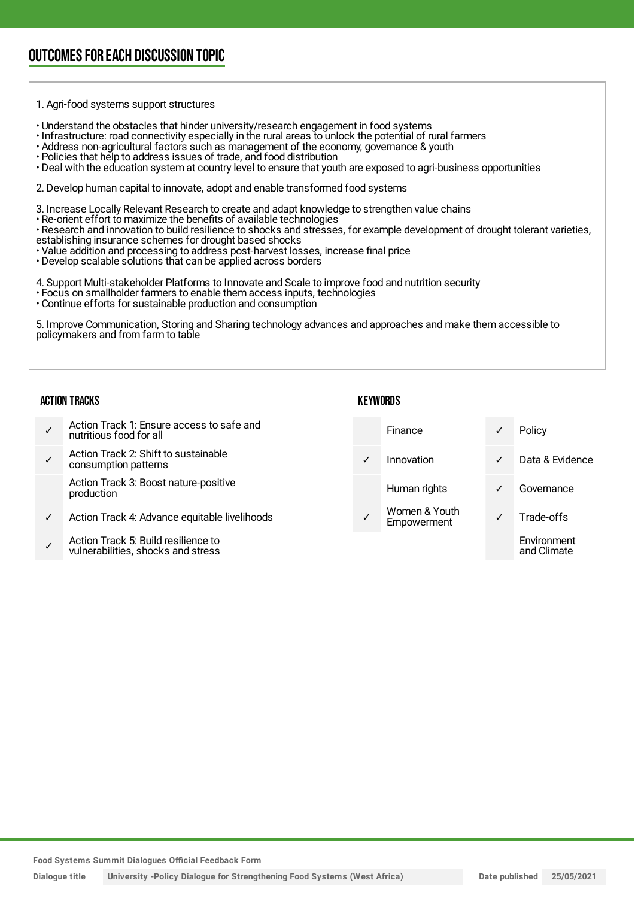### OUTCOMESFOR EACH DISCUSSION TOPIC

#### 1. Agri-food systems support structures

- Understand the obstacles that hinder university/research engagement in food systems
- Infrastructure: road connectivity especially in the rural areas to unlock the potential of rural farmers
- Address non-agricultural factors such as management of the economy, governance & youth
- Policies that help to address issues of trade, and food distribution
- Deal with the education system at country level to ensure that youth are exposed to agri-business opportunities

2. Develop human capital to innovate, adopt and enable transformed food systems

3. Increase Locally Relevant Research to create and adapt knowledge to strengthen value chains

- Re-orient effort to maximize the benefits of available technologies
- Research and innovation to build resilience to shocks and stresses, for example development of drought tolerant varieties,
- establishing insurance schemes for drought based shocks
- Value addition and processing to address post-harvest losses, increase final price
- Develop scalable solutions that can be applied across borders

4. Support Multi-stakeholder Platforms to Innovate and Scale to improve food and nutrition security

- Focus on smallholder farmers to enable them access inputs, technologies
- Continue efforts for sustainable production and consumption

5. Improve Communication, Storing and Sharing technology advances and approaches and make them accessible to policymakers and from farm to table

#### ACTION TRACKS

#### **KEYWORDS**

✓ Action Track 1: Ensure access to safe and nutritious food for all ✓ Action Track 2: Shift to sustainable consumption patterns Action Track 3: Boost nature-positive production Action Track 4: Advance equitable livelihoods ✓ Action Track 5: Build resilience to Finance ✓ Policy ✓ Innovation ✓ Data & Evidence Human rights **v** Governance Women & Youth Women & Tourn<br>Empowerment V Trade-offs Environment

**Food Systems Summit Dialogues Official Feedback Form**

vulnerabilities, shocks and stress

**Dialogue title University -Policy Dialogue for Strengthening Food Systems (West Africa) Date published 25/05/2021**

and Climate